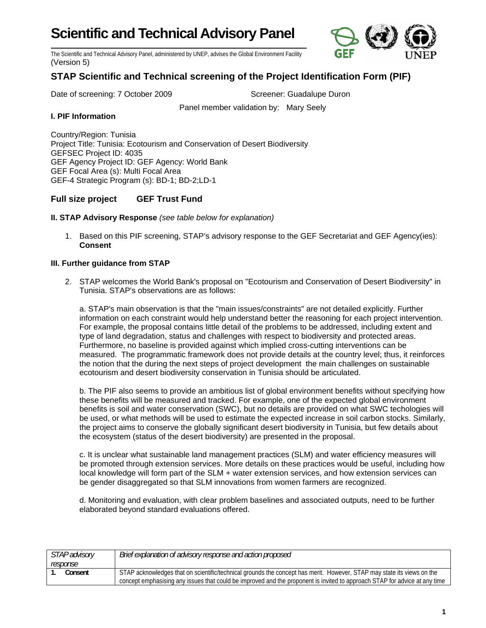# **Scientific and Technical Advisory Panel**



The Scientific and Technical Advisory Panel, administered by UNEP, advises the Global Environment Facility (Version 5)

## **STAP Scientific and Technical screening of the Project Identification Form (PIF)**

Date of screening: 7 October 2009 Screener: Guadalupe Duron

Panel member validation by: Mary Seely

### **I. PIF Information**

Country/Region: Tunisia Project Title: Tunisia: Ecotourism and Conservation of Desert Biodiversity GEFSEC Project ID: 4035 GEF Agency Project ID: GEF Agency: World Bank GEF Focal Area (s): Multi Focal Area GEF-4 Strategic Program (s): BD-1; BD-2;LD-1

## **Full size project GEF Trust Fund**

#### **II. STAP Advisory Response** *(see table below for explanation)*

1. Based on this PIF screening, STAP's advisory response to the GEF Secretariat and GEF Agency(ies): **Consent** 

#### **III. Further guidance from STAP**

2. STAP welcomes the World Bank's proposal on "Ecotourism and Conservation of Desert Biodiversity" in Tunisia. STAP's observations are as follows:

a. STAP's main observation is that the "main issues/constraints" are not detailed explicitly. Further information on each constraint would help understand better the reasoning for each project intervention. For example, the proposal contains little detail of the problems to be addressed, including extent and type of land degradation, status and challenges with respect to biodiversity and protected areas. Furthermore, no baseline is provided against which implied cross-cutting interventions can be measured. The programmatic framework does not provide details at the country level; thus, it reinforces the notion that the during the next steps of project development the main challenges on sustainable ecotourism and desert biodiversity conservation in Tunisia should be articulated.

b. The PIF also seems to provide an ambitious list of global environment benefits without specifying how these benefits will be measured and tracked. For example, one of the expected global environment benefits is soil and water conservation (SWC), but no details are provided on what SWC techologies will be used, or what methods will be used to estimate the expected increase in soil carbon stocks. Similarly, the project aims to conserve the globally significant desert biodiversity in Tunisia, but few details about the ecosystem (status of the desert biodiversity) are presented in the proposal.

c. It is unclear what sustainable land management practices (SLM) and water efficiency measures will be promoted through extension services. More details on these practices would be useful, including how local knowledge will form part of the SLM + water extension services, and how extension services can be gender disaggregated so that SLM innovations from women farmers are recognized.

d. Monitoring and evaluation, with clear problem baselines and associated outputs, need to be further elaborated beyond standard evaluations offered.

| <i>STAP advisory</i> |         | Brief explanation of advisory response and action proposed                                                                 |
|----------------------|---------|----------------------------------------------------------------------------------------------------------------------------|
| response             |         |                                                                                                                            |
|                      | Consent | STAP acknowledges that on scientific/technical grounds the concept has merit. However, STAP may state its views on the     |
|                      |         | concept emphasising any issues that could be improved and the proponent is invited to approach STAP for advice at any time |